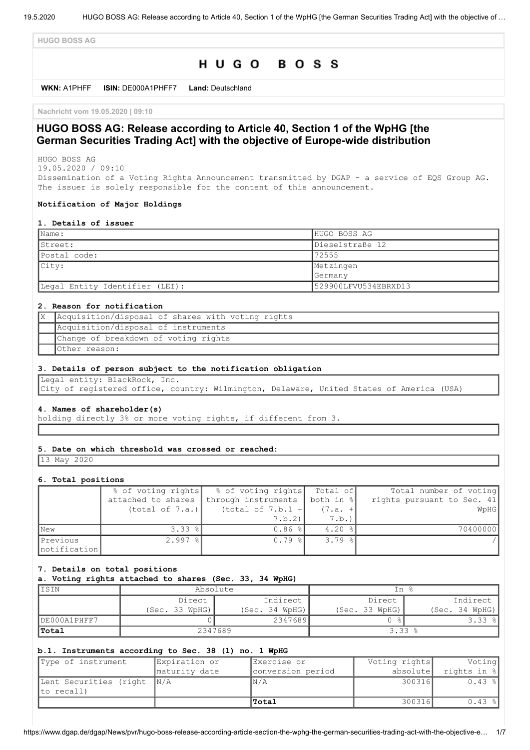**HUGO BOSS AG**

# HUGO BOSS

**WKN:** A1PHFF **ISIN:** DE000A1PHFF7 **Land:** Deutschland

**Nachricht vom 19.05.2020 | 09:10**

## **HUGO BOSS AG: Release according to Article 40, Section 1 of the WpHG [the German Securities Trading Act] with the objective of Europe-wide distribution**

HUGO BOSS AG 19.05.2020 / 09:10

Dissemination of a Voting Rights Announcement transmitted by DGAP - a service of EQS Group AG. The issuer is solely responsible for the content of this announcement.

#### **Notification of Major Holdings**

#### **1. Details of issuer**

| $\blacksquare$ Name:           | HUGO BOSS AG         |
|--------------------------------|----------------------|
| Street:                        | Dieselstraße 12      |
| Postal code:                   | 72555                |
| $ $ City:                      | Metzingen            |
|                                | Germany              |
| Legal Entity Identifier (LEI): | 529900LFVU534EBRXD13 |

### **2. Reason for notification**

| Acquisition/disposal of shares with voting rights |
|---------------------------------------------------|
| Acquisition/disposal of instruments               |
| Change of breakdown of voting rights              |
| Other reason:                                     |

#### **3. Details of person subject to the notification obligation**

Legal entity: BlackRock, Inc. City of registered office, country: Wilmington, Delaware, United States of America (USA)

#### **4. Names of shareholder(s)**

holding directly 3% or more voting rights, if different from 3.

#### **5. Date on which threshold was crossed or reached:**

13 May 2020

#### **6. Total positions**

|               | % of voting rights | % of voting rights Total of     |                      | Total number of voting     |
|---------------|--------------------|---------------------------------|----------------------|----------------------------|
|               | attached to shares | through instruments   both in % |                      | rights pursuant to Sec. 41 |
|               | (total of 7.a.)    | $(total of 7.b.1 +$             | $(7.a. +$            | WpHG                       |
|               |                    | 7.b.2                           | 7.b.)'               |                            |
| <b>New</b>    | $3.33$ $ $         | $0.86$ %                        | $4.20$ %             | 70400000                   |
| Previous      | $2.997$ %          | $0.79$ $\frac{8}{10}$           | $3.79$ $\frac{8}{1}$ |                            |
| Inotification |                    |                                 |                      |                            |

#### **7. Details on total positions**

**a. Voting rights attached to shares (Sec. 33, 34 WpHG)**

| ISIN         | Absolute           |                | - 2<br>Ιn          |                |
|--------------|--------------------|----------------|--------------------|----------------|
|              | Indirect<br>Direct |                | Indirect<br>Direct |                |
|              | (Sec. 33 WpHG)     | (Sec. 34 WPHG) | (Sec. 33 WpHG)     | (Sec. 34 WpHG) |
| DE000A1PHFF7 |                    | 2347689        |                    | $3.33$ $ $     |
| Total        | 2347689            |                | $3.33$ $%$         |                |

### **b.1. Instruments according to Sec. 38 (1) no. 1 WpHG**

| Type of instrument                       | Expiration or | Exercise or       | Voting rights | Voting      |
|------------------------------------------|---------------|-------------------|---------------|-------------|
|                                          | maturity date | conversion period | absolute      | rights in % |
| Lent Securities (right N/A<br>to recall) |               | N/A               | 300316        | $0.43$ %    |
|                                          |               | Total             | 300316        | $0.43$ %    |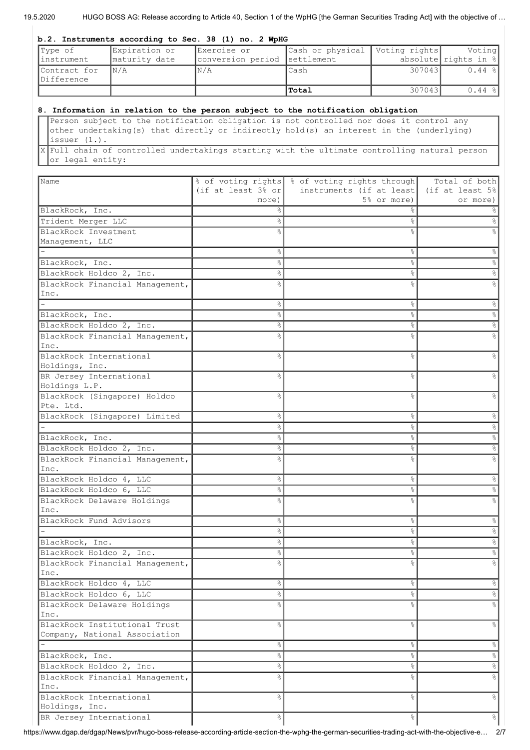19.5.2020 HUGO BOSS AG: Release according to Article 40, Section 1 of the WpHG [the German Securities Trading Act] with the objective of …

#### **b.2. Instruments according to Sec. 38 (1) no. 2 WpHG**

| Type of                    | Expiration or           | Exercise or                  | Cash or physical   Voting rights |         | Voting                  |
|----------------------------|-------------------------|------------------------------|----------------------------------|---------|-------------------------|
| linstrument                | maturity date           | conversion period settlement |                                  |         | absolute rights in $\ $ |
| Contract for<br>Difference | $\mathbb{N}/\mathbb{A}$ | IN/A                         | lCash                            | 3070431 | $0.44$ $  $             |
|                            |                         |                              | Total                            | 307043  | $0.44$ %                |

### **8. Information in relation to the person subject to the notification obligation**

Person subject to the notification obligation is not controlled nor does it control any other undertaking(s) that directly or indirectly hold(s) an interest in the (underlying) issuer (1.).

X Full chain of controlled undertakings starting with the ultimate controlling natural person or legal entity:

| <b>Name</b>                             |                                | % of voting rights % of voting rights through | Total of both |
|-----------------------------------------|--------------------------------|-----------------------------------------------|---------------|
|                                         | (if at least $3\frac{6}{5}$ or | instruments (if at least   (if at least 5%)   |               |
|                                         | more)                          | 5% or more)                                   | or more)      |
| BlackRock, Inc.                         | ⊱                              |                                               |               |
| Trident Merger LLC                      | ٥ę                             | &                                             |               |
| BlackRock Investment                    |                                | ٥Ŗ                                            |               |
| Management, LLC                         |                                |                                               |               |
|                                         | °                              | နွ                                            | ⊱             |
| BlackRock, Inc.                         | e.                             | &                                             |               |
| BlackRock Holdco 2, Inc.                | 응                              | နွ                                            |               |
| BlackRock Financial Management,         |                                | g                                             |               |
| Inc.                                    |                                |                                               |               |
|                                         | 응                              | 옹                                             |               |
| BlackRock, Inc.                         | 응                              | 옹                                             |               |
| BlackRock Holdco 2, Inc.                | ⊱                              | နွ                                            |               |
| BlackRock Financial Management,         | ℅                              | g,                                            |               |
| Inc.                                    |                                |                                               |               |
| BlackRock International                 | ⊱                              | g<br>8                                        |               |
| Holdings, Inc.                          |                                |                                               |               |
| BR Jersey International                 | 옹                              | 8                                             |               |
| Holdings L.P.                           |                                |                                               |               |
| BlackRock (Singapore) Holdco            | ⊱                              | g,                                            |               |
| Pte. Ltd.                               |                                |                                               |               |
| BlackRock (Singapore) Limited           | 응                              | 옹                                             |               |
|                                         | ⊱                              | 옹                                             | g.            |
| BlackRock, Inc.                         | ⊱                              | 옹                                             | g.            |
| BlackRock Holdco 2, Inc.                | ిం                             | 옹                                             |               |
| BlackRock Financial Management,         |                                | ٥Ŗ                                            |               |
| Inc.                                    |                                |                                               |               |
| BlackRock Holdco 4, LLC                 | ⊱                              | &                                             |               |
| BlackRock Holdco 6, LLC                 | ⊱                              | နွ                                            |               |
| BlackRock Delaware Holdings             |                                | $\frac{8}{10}$                                |               |
| Inc.                                    |                                |                                               |               |
| BlackRock Fund Advisors                 | 옹                              | 8                                             |               |
|                                         | 옹                              | 8                                             |               |
| BlackRock, Inc.                         | 옹                              | 8                                             |               |
| BlackRock Holdco 2, Inc.                | 옹                              | g,                                            |               |
| BlackRock Financial Management,         |                                |                                               |               |
| Inc.                                    |                                |                                               |               |
| BlackRock Holdco 4, LLC                 | 응                              | &                                             | $\%$          |
| BlackRock Holdco 6, LLC                 | $\frac{6}{3}$                  | ိင                                            | 응             |
| BlackRock Delaware Holdings<br>Inc.     | 욲                              | ٩,                                            |               |
| BlackRock Institutional Trust           | ⊱                              | &                                             | န္            |
| Company, National Association           |                                |                                               |               |
|                                         | °                              | ိင                                            | 응             |
| BlackRock, Inc.                         | 응                              | s,                                            | 응             |
| BlackRock Holdco 2, Inc.                | 응                              | s,                                            | %             |
|                                         | 옹                              | 8                                             | °             |
| BlackRock Financial Management,<br>Inc. |                                |                                               |               |
| BlackRock International                 | ⊱                              | $\approx$                                     | $\frac{6}{5}$ |
| Holdings, Inc.                          |                                |                                               |               |
| BR Jersey International                 | 옹                              | 응                                             | $\frac{6}{6}$ |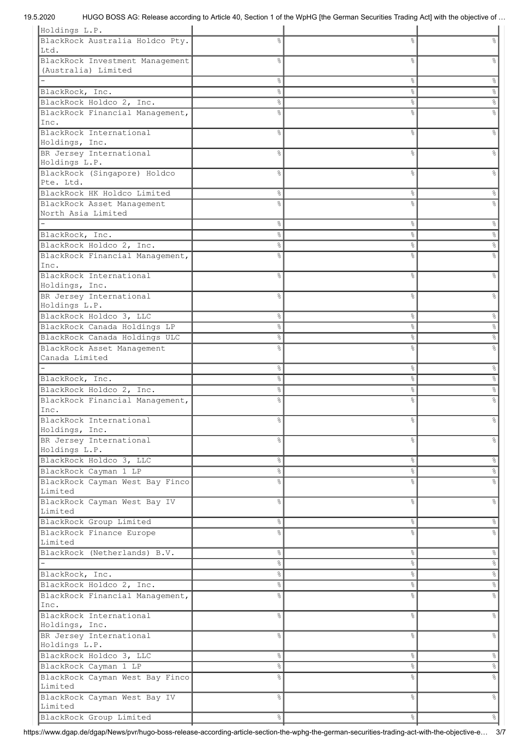## 19.5.2020 HUGO BOSS AG: Release according to Article 40, Section 1 of the WpHG [the German Securities Trading Act] with the objective of …

| BlackRock Australia Holdco Pty.<br>옹<br>g<br>옹<br>Ltd.<br>BlackRock Investment Management<br>g,<br>g,<br>⊱<br>(Australia) Limited<br>နွ<br>ိင<br>န္<br>&<br>BlackRock, Inc.<br>g.<br>နွ<br><u>န</u><br>&<br>BlackRock Holdco 2, Inc.<br>g.<br>BlackRock Financial Management,<br>g<br>8<br>နွ<br>℅<br>Inc.<br>BlackRock International<br>$\frac{6}{10}$<br>o,<br>٥Ŗ<br>Holdings, Inc.<br>BR Jersey International<br>$\frac{6}{10}$<br>٥Ŗ<br>$\approx$<br>Holdings L.P.<br>BlackRock (Singapore) Holdco<br>℅<br>g,<br>g,<br>Pte. Ltd.<br>BlackRock HK Holdco Limited<br>&<br>နွ<br>%<br>BlackRock Asset Management<br>$\frac{1}{2}$<br>North Asia Limited<br>g.<br>&<br>$\frac{8}{3}$<br>BlackRock, Inc.<br>$\frac{6}{6}$<br>$\%$<br>8<br>BlackRock Holdco 2, Inc.<br>$\%$<br>g.<br>နွ<br>BlackRock Financial Management,<br>$\frac{1}{2}$<br>٥Ŗ<br>$\frac{6}{5}$<br>Inc.<br>BlackRock International<br>$\frac{6}{10}$<br>٥Ŗ<br>$\approx$<br>Holdings, Inc.<br>BR Jersey International<br>8<br>g.<br>⊱<br>Holdings L.P.<br>BlackRock Holdco 3, LLC<br>နွ<br>°<br>$\epsilon$<br>BlackRock Canada Holdings LP<br>$\%$<br>°<br>နွ<br>BlackRock Canada Holdings ULC<br>$\%$<br>$\%$<br>နွ<br>BlackRock Asset Management<br>န္<br>g.<br>8<br>Canada Limited<br>နွ<br>&<br>%<br>BlackRock, Inc.<br>$\%$<br>g.<br>&<br>BlackRock Holdco 2, Inc.<br>$\%$<br>g.<br>နွ<br>BlackRock Financial Management,<br>o,<br>g<br>8<br>8<br>Inc.<br>BlackRock International<br>နွ<br>&<br>န္<br>Holdings, Inc.<br>BR Jersey International<br>$\epsilon$<br>옹<br>g,<br>Holdings L.P.<br>BlackRock Holdco 3, LLC<br>$\%$<br>옹<br>응<br>BlackRock Cayman 1 LP<br>옹<br>g.<br>$\%$<br>$\%$<br>BlackRock Cayman West Bay Finco<br>o <sub>o</sub><br>g.<br>Limited<br>$\ensuremath{\mathsf{S}}$<br>BlackRock Cayman West Bay IV<br>န္<br>$\frac{6}{6}$<br>Limited<br>BlackRock Group Limited<br>$\%$<br>$\%$<br>옹<br>BlackRock Finance Europe<br>$\frac{6}{2}$<br>$\frac{1}{2}$<br>&<br>Limited<br>BlackRock (Netherlands) B.V.<br>$\frac{6}{5}$<br>옹<br>응<br>$\infty$<br>옹<br>&<br>$\frac{1}{\sqrt{2}}$<br>옹<br>$\frac{8}{3}$<br>BlackRock, Inc.<br>$\delta_{\rm o}$<br>BlackRock Holdco 2, Inc.<br>옹<br>g.<br>BlackRock Financial Management,<br>$\frac{6}{5}$<br>$\frac{6}{10}$<br>٩,<br>Inc.<br>BlackRock International<br>$\frac{6}{6}$<br>$\frac{6}{5}$<br>g.<br>Holdings, Inc.<br>BR Jersey International<br>$\%$<br>$\frac{6}{10}$<br>$\frac{1}{2}$<br>Holdings L.P.<br>BlackRock Holdco 3, LLC<br>&<br>$\%$<br>옹<br>BlackRock Cayman 1 LP<br>옹<br>$\%$<br>$\%$<br>BlackRock Cayman West Bay Finco<br>$\%$<br>$\frac{6}{10}$<br>٩,<br>Limited<br>BlackRock Cayman West Bay IV<br>$\frac{6}{5}$<br>g.<br>&<br>Limited<br>BlackRock Group Limited<br>$\frac{6}{6}$<br>°<br>$\frac{8}{6}$ | Holdings L.P. |  |  |
|-------------------------------------------------------------------------------------------------------------------------------------------------------------------------------------------------------------------------------------------------------------------------------------------------------------------------------------------------------------------------------------------------------------------------------------------------------------------------------------------------------------------------------------------------------------------------------------------------------------------------------------------------------------------------------------------------------------------------------------------------------------------------------------------------------------------------------------------------------------------------------------------------------------------------------------------------------------------------------------------------------------------------------------------------------------------------------------------------------------------------------------------------------------------------------------------------------------------------------------------------------------------------------------------------------------------------------------------------------------------------------------------------------------------------------------------------------------------------------------------------------------------------------------------------------------------------------------------------------------------------------------------------------------------------------------------------------------------------------------------------------------------------------------------------------------------------------------------------------------------------------------------------------------------------------------------------------------------------------------------------------------------------------------------------------------------------------------------------------------------------------------------------------------------------------------------------------------------------------------------------------------------------------------------------------------------------------------------------------------------------------------------------------------------------------------------------------------------------------------------------------------------------------------------------------------------------------------------------------------------------------------------------------------------------------------------------------------------------------------------------------------------|---------------|--|--|
|                                                                                                                                                                                                                                                                                                                                                                                                                                                                                                                                                                                                                                                                                                                                                                                                                                                                                                                                                                                                                                                                                                                                                                                                                                                                                                                                                                                                                                                                                                                                                                                                                                                                                                                                                                                                                                                                                                                                                                                                                                                                                                                                                                                                                                                                                                                                                                                                                                                                                                                                                                                                                                                                                                                                                                   |               |  |  |
|                                                                                                                                                                                                                                                                                                                                                                                                                                                                                                                                                                                                                                                                                                                                                                                                                                                                                                                                                                                                                                                                                                                                                                                                                                                                                                                                                                                                                                                                                                                                                                                                                                                                                                                                                                                                                                                                                                                                                                                                                                                                                                                                                                                                                                                                                                                                                                                                                                                                                                                                                                                                                                                                                                                                                                   |               |  |  |
|                                                                                                                                                                                                                                                                                                                                                                                                                                                                                                                                                                                                                                                                                                                                                                                                                                                                                                                                                                                                                                                                                                                                                                                                                                                                                                                                                                                                                                                                                                                                                                                                                                                                                                                                                                                                                                                                                                                                                                                                                                                                                                                                                                                                                                                                                                                                                                                                                                                                                                                                                                                                                                                                                                                                                                   |               |  |  |
|                                                                                                                                                                                                                                                                                                                                                                                                                                                                                                                                                                                                                                                                                                                                                                                                                                                                                                                                                                                                                                                                                                                                                                                                                                                                                                                                                                                                                                                                                                                                                                                                                                                                                                                                                                                                                                                                                                                                                                                                                                                                                                                                                                                                                                                                                                                                                                                                                                                                                                                                                                                                                                                                                                                                                                   |               |  |  |
|                                                                                                                                                                                                                                                                                                                                                                                                                                                                                                                                                                                                                                                                                                                                                                                                                                                                                                                                                                                                                                                                                                                                                                                                                                                                                                                                                                                                                                                                                                                                                                                                                                                                                                                                                                                                                                                                                                                                                                                                                                                                                                                                                                                                                                                                                                                                                                                                                                                                                                                                                                                                                                                                                                                                                                   |               |  |  |
|                                                                                                                                                                                                                                                                                                                                                                                                                                                                                                                                                                                                                                                                                                                                                                                                                                                                                                                                                                                                                                                                                                                                                                                                                                                                                                                                                                                                                                                                                                                                                                                                                                                                                                                                                                                                                                                                                                                                                                                                                                                                                                                                                                                                                                                                                                                                                                                                                                                                                                                                                                                                                                                                                                                                                                   |               |  |  |
|                                                                                                                                                                                                                                                                                                                                                                                                                                                                                                                                                                                                                                                                                                                                                                                                                                                                                                                                                                                                                                                                                                                                                                                                                                                                                                                                                                                                                                                                                                                                                                                                                                                                                                                                                                                                                                                                                                                                                                                                                                                                                                                                                                                                                                                                                                                                                                                                                                                                                                                                                                                                                                                                                                                                                                   |               |  |  |
|                                                                                                                                                                                                                                                                                                                                                                                                                                                                                                                                                                                                                                                                                                                                                                                                                                                                                                                                                                                                                                                                                                                                                                                                                                                                                                                                                                                                                                                                                                                                                                                                                                                                                                                                                                                                                                                                                                                                                                                                                                                                                                                                                                                                                                                                                                                                                                                                                                                                                                                                                                                                                                                                                                                                                                   |               |  |  |
|                                                                                                                                                                                                                                                                                                                                                                                                                                                                                                                                                                                                                                                                                                                                                                                                                                                                                                                                                                                                                                                                                                                                                                                                                                                                                                                                                                                                                                                                                                                                                                                                                                                                                                                                                                                                                                                                                                                                                                                                                                                                                                                                                                                                                                                                                                                                                                                                                                                                                                                                                                                                                                                                                                                                                                   |               |  |  |
|                                                                                                                                                                                                                                                                                                                                                                                                                                                                                                                                                                                                                                                                                                                                                                                                                                                                                                                                                                                                                                                                                                                                                                                                                                                                                                                                                                                                                                                                                                                                                                                                                                                                                                                                                                                                                                                                                                                                                                                                                                                                                                                                                                                                                                                                                                                                                                                                                                                                                                                                                                                                                                                                                                                                                                   |               |  |  |
|                                                                                                                                                                                                                                                                                                                                                                                                                                                                                                                                                                                                                                                                                                                                                                                                                                                                                                                                                                                                                                                                                                                                                                                                                                                                                                                                                                                                                                                                                                                                                                                                                                                                                                                                                                                                                                                                                                                                                                                                                                                                                                                                                                                                                                                                                                                                                                                                                                                                                                                                                                                                                                                                                                                                                                   |               |  |  |
|                                                                                                                                                                                                                                                                                                                                                                                                                                                                                                                                                                                                                                                                                                                                                                                                                                                                                                                                                                                                                                                                                                                                                                                                                                                                                                                                                                                                                                                                                                                                                                                                                                                                                                                                                                                                                                                                                                                                                                                                                                                                                                                                                                                                                                                                                                                                                                                                                                                                                                                                                                                                                                                                                                                                                                   |               |  |  |
|                                                                                                                                                                                                                                                                                                                                                                                                                                                                                                                                                                                                                                                                                                                                                                                                                                                                                                                                                                                                                                                                                                                                                                                                                                                                                                                                                                                                                                                                                                                                                                                                                                                                                                                                                                                                                                                                                                                                                                                                                                                                                                                                                                                                                                                                                                                                                                                                                                                                                                                                                                                                                                                                                                                                                                   |               |  |  |
|                                                                                                                                                                                                                                                                                                                                                                                                                                                                                                                                                                                                                                                                                                                                                                                                                                                                                                                                                                                                                                                                                                                                                                                                                                                                                                                                                                                                                                                                                                                                                                                                                                                                                                                                                                                                                                                                                                                                                                                                                                                                                                                                                                                                                                                                                                                                                                                                                                                                                                                                                                                                                                                                                                                                                                   |               |  |  |
|                                                                                                                                                                                                                                                                                                                                                                                                                                                                                                                                                                                                                                                                                                                                                                                                                                                                                                                                                                                                                                                                                                                                                                                                                                                                                                                                                                                                                                                                                                                                                                                                                                                                                                                                                                                                                                                                                                                                                                                                                                                                                                                                                                                                                                                                                                                                                                                                                                                                                                                                                                                                                                                                                                                                                                   |               |  |  |
|                                                                                                                                                                                                                                                                                                                                                                                                                                                                                                                                                                                                                                                                                                                                                                                                                                                                                                                                                                                                                                                                                                                                                                                                                                                                                                                                                                                                                                                                                                                                                                                                                                                                                                                                                                                                                                                                                                                                                                                                                                                                                                                                                                                                                                                                                                                                                                                                                                                                                                                                                                                                                                                                                                                                                                   |               |  |  |
|                                                                                                                                                                                                                                                                                                                                                                                                                                                                                                                                                                                                                                                                                                                                                                                                                                                                                                                                                                                                                                                                                                                                                                                                                                                                                                                                                                                                                                                                                                                                                                                                                                                                                                                                                                                                                                                                                                                                                                                                                                                                                                                                                                                                                                                                                                                                                                                                                                                                                                                                                                                                                                                                                                                                                                   |               |  |  |
|                                                                                                                                                                                                                                                                                                                                                                                                                                                                                                                                                                                                                                                                                                                                                                                                                                                                                                                                                                                                                                                                                                                                                                                                                                                                                                                                                                                                                                                                                                                                                                                                                                                                                                                                                                                                                                                                                                                                                                                                                                                                                                                                                                                                                                                                                                                                                                                                                                                                                                                                                                                                                                                                                                                                                                   |               |  |  |
|                                                                                                                                                                                                                                                                                                                                                                                                                                                                                                                                                                                                                                                                                                                                                                                                                                                                                                                                                                                                                                                                                                                                                                                                                                                                                                                                                                                                                                                                                                                                                                                                                                                                                                                                                                                                                                                                                                                                                                                                                                                                                                                                                                                                                                                                                                                                                                                                                                                                                                                                                                                                                                                                                                                                                                   |               |  |  |
|                                                                                                                                                                                                                                                                                                                                                                                                                                                                                                                                                                                                                                                                                                                                                                                                                                                                                                                                                                                                                                                                                                                                                                                                                                                                                                                                                                                                                                                                                                                                                                                                                                                                                                                                                                                                                                                                                                                                                                                                                                                                                                                                                                                                                                                                                                                                                                                                                                                                                                                                                                                                                                                                                                                                                                   |               |  |  |
|                                                                                                                                                                                                                                                                                                                                                                                                                                                                                                                                                                                                                                                                                                                                                                                                                                                                                                                                                                                                                                                                                                                                                                                                                                                                                                                                                                                                                                                                                                                                                                                                                                                                                                                                                                                                                                                                                                                                                                                                                                                                                                                                                                                                                                                                                                                                                                                                                                                                                                                                                                                                                                                                                                                                                                   |               |  |  |
|                                                                                                                                                                                                                                                                                                                                                                                                                                                                                                                                                                                                                                                                                                                                                                                                                                                                                                                                                                                                                                                                                                                                                                                                                                                                                                                                                                                                                                                                                                                                                                                                                                                                                                                                                                                                                                                                                                                                                                                                                                                                                                                                                                                                                                                                                                                                                                                                                                                                                                                                                                                                                                                                                                                                                                   |               |  |  |
|                                                                                                                                                                                                                                                                                                                                                                                                                                                                                                                                                                                                                                                                                                                                                                                                                                                                                                                                                                                                                                                                                                                                                                                                                                                                                                                                                                                                                                                                                                                                                                                                                                                                                                                                                                                                                                                                                                                                                                                                                                                                                                                                                                                                                                                                                                                                                                                                                                                                                                                                                                                                                                                                                                                                                                   |               |  |  |
|                                                                                                                                                                                                                                                                                                                                                                                                                                                                                                                                                                                                                                                                                                                                                                                                                                                                                                                                                                                                                                                                                                                                                                                                                                                                                                                                                                                                                                                                                                                                                                                                                                                                                                                                                                                                                                                                                                                                                                                                                                                                                                                                                                                                                                                                                                                                                                                                                                                                                                                                                                                                                                                                                                                                                                   |               |  |  |
|                                                                                                                                                                                                                                                                                                                                                                                                                                                                                                                                                                                                                                                                                                                                                                                                                                                                                                                                                                                                                                                                                                                                                                                                                                                                                                                                                                                                                                                                                                                                                                                                                                                                                                                                                                                                                                                                                                                                                                                                                                                                                                                                                                                                                                                                                                                                                                                                                                                                                                                                                                                                                                                                                                                                                                   |               |  |  |
|                                                                                                                                                                                                                                                                                                                                                                                                                                                                                                                                                                                                                                                                                                                                                                                                                                                                                                                                                                                                                                                                                                                                                                                                                                                                                                                                                                                                                                                                                                                                                                                                                                                                                                                                                                                                                                                                                                                                                                                                                                                                                                                                                                                                                                                                                                                                                                                                                                                                                                                                                                                                                                                                                                                                                                   |               |  |  |
|                                                                                                                                                                                                                                                                                                                                                                                                                                                                                                                                                                                                                                                                                                                                                                                                                                                                                                                                                                                                                                                                                                                                                                                                                                                                                                                                                                                                                                                                                                                                                                                                                                                                                                                                                                                                                                                                                                                                                                                                                                                                                                                                                                                                                                                                                                                                                                                                                                                                                                                                                                                                                                                                                                                                                                   |               |  |  |
|                                                                                                                                                                                                                                                                                                                                                                                                                                                                                                                                                                                                                                                                                                                                                                                                                                                                                                                                                                                                                                                                                                                                                                                                                                                                                                                                                                                                                                                                                                                                                                                                                                                                                                                                                                                                                                                                                                                                                                                                                                                                                                                                                                                                                                                                                                                                                                                                                                                                                                                                                                                                                                                                                                                                                                   |               |  |  |
|                                                                                                                                                                                                                                                                                                                                                                                                                                                                                                                                                                                                                                                                                                                                                                                                                                                                                                                                                                                                                                                                                                                                                                                                                                                                                                                                                                                                                                                                                                                                                                                                                                                                                                                                                                                                                                                                                                                                                                                                                                                                                                                                                                                                                                                                                                                                                                                                                                                                                                                                                                                                                                                                                                                                                                   |               |  |  |
|                                                                                                                                                                                                                                                                                                                                                                                                                                                                                                                                                                                                                                                                                                                                                                                                                                                                                                                                                                                                                                                                                                                                                                                                                                                                                                                                                                                                                                                                                                                                                                                                                                                                                                                                                                                                                                                                                                                                                                                                                                                                                                                                                                                                                                                                                                                                                                                                                                                                                                                                                                                                                                                                                                                                                                   |               |  |  |
|                                                                                                                                                                                                                                                                                                                                                                                                                                                                                                                                                                                                                                                                                                                                                                                                                                                                                                                                                                                                                                                                                                                                                                                                                                                                                                                                                                                                                                                                                                                                                                                                                                                                                                                                                                                                                                                                                                                                                                                                                                                                                                                                                                                                                                                                                                                                                                                                                                                                                                                                                                                                                                                                                                                                                                   |               |  |  |
|                                                                                                                                                                                                                                                                                                                                                                                                                                                                                                                                                                                                                                                                                                                                                                                                                                                                                                                                                                                                                                                                                                                                                                                                                                                                                                                                                                                                                                                                                                                                                                                                                                                                                                                                                                                                                                                                                                                                                                                                                                                                                                                                                                                                                                                                                                                                                                                                                                                                                                                                                                                                                                                                                                                                                                   |               |  |  |
|                                                                                                                                                                                                                                                                                                                                                                                                                                                                                                                                                                                                                                                                                                                                                                                                                                                                                                                                                                                                                                                                                                                                                                                                                                                                                                                                                                                                                                                                                                                                                                                                                                                                                                                                                                                                                                                                                                                                                                                                                                                                                                                                                                                                                                                                                                                                                                                                                                                                                                                                                                                                                                                                                                                                                                   |               |  |  |
|                                                                                                                                                                                                                                                                                                                                                                                                                                                                                                                                                                                                                                                                                                                                                                                                                                                                                                                                                                                                                                                                                                                                                                                                                                                                                                                                                                                                                                                                                                                                                                                                                                                                                                                                                                                                                                                                                                                                                                                                                                                                                                                                                                                                                                                                                                                                                                                                                                                                                                                                                                                                                                                                                                                                                                   |               |  |  |
|                                                                                                                                                                                                                                                                                                                                                                                                                                                                                                                                                                                                                                                                                                                                                                                                                                                                                                                                                                                                                                                                                                                                                                                                                                                                                                                                                                                                                                                                                                                                                                                                                                                                                                                                                                                                                                                                                                                                                                                                                                                                                                                                                                                                                                                                                                                                                                                                                                                                                                                                                                                                                                                                                                                                                                   |               |  |  |
|                                                                                                                                                                                                                                                                                                                                                                                                                                                                                                                                                                                                                                                                                                                                                                                                                                                                                                                                                                                                                                                                                                                                                                                                                                                                                                                                                                                                                                                                                                                                                                                                                                                                                                                                                                                                                                                                                                                                                                                                                                                                                                                                                                                                                                                                                                                                                                                                                                                                                                                                                                                                                                                                                                                                                                   |               |  |  |
|                                                                                                                                                                                                                                                                                                                                                                                                                                                                                                                                                                                                                                                                                                                                                                                                                                                                                                                                                                                                                                                                                                                                                                                                                                                                                                                                                                                                                                                                                                                                                                                                                                                                                                                                                                                                                                                                                                                                                                                                                                                                                                                                                                                                                                                                                                                                                                                                                                                                                                                                                                                                                                                                                                                                                                   |               |  |  |
|                                                                                                                                                                                                                                                                                                                                                                                                                                                                                                                                                                                                                                                                                                                                                                                                                                                                                                                                                                                                                                                                                                                                                                                                                                                                                                                                                                                                                                                                                                                                                                                                                                                                                                                                                                                                                                                                                                                                                                                                                                                                                                                                                                                                                                                                                                                                                                                                                                                                                                                                                                                                                                                                                                                                                                   |               |  |  |
|                                                                                                                                                                                                                                                                                                                                                                                                                                                                                                                                                                                                                                                                                                                                                                                                                                                                                                                                                                                                                                                                                                                                                                                                                                                                                                                                                                                                                                                                                                                                                                                                                                                                                                                                                                                                                                                                                                                                                                                                                                                                                                                                                                                                                                                                                                                                                                                                                                                                                                                                                                                                                                                                                                                                                                   |               |  |  |
|                                                                                                                                                                                                                                                                                                                                                                                                                                                                                                                                                                                                                                                                                                                                                                                                                                                                                                                                                                                                                                                                                                                                                                                                                                                                                                                                                                                                                                                                                                                                                                                                                                                                                                                                                                                                                                                                                                                                                                                                                                                                                                                                                                                                                                                                                                                                                                                                                                                                                                                                                                                                                                                                                                                                                                   |               |  |  |
|                                                                                                                                                                                                                                                                                                                                                                                                                                                                                                                                                                                                                                                                                                                                                                                                                                                                                                                                                                                                                                                                                                                                                                                                                                                                                                                                                                                                                                                                                                                                                                                                                                                                                                                                                                                                                                                                                                                                                                                                                                                                                                                                                                                                                                                                                                                                                                                                                                                                                                                                                                                                                                                                                                                                                                   |               |  |  |
|                                                                                                                                                                                                                                                                                                                                                                                                                                                                                                                                                                                                                                                                                                                                                                                                                                                                                                                                                                                                                                                                                                                                                                                                                                                                                                                                                                                                                                                                                                                                                                                                                                                                                                                                                                                                                                                                                                                                                                                                                                                                                                                                                                                                                                                                                                                                                                                                                                                                                                                                                                                                                                                                                                                                                                   |               |  |  |
|                                                                                                                                                                                                                                                                                                                                                                                                                                                                                                                                                                                                                                                                                                                                                                                                                                                                                                                                                                                                                                                                                                                                                                                                                                                                                                                                                                                                                                                                                                                                                                                                                                                                                                                                                                                                                                                                                                                                                                                                                                                                                                                                                                                                                                                                                                                                                                                                                                                                                                                                                                                                                                                                                                                                                                   |               |  |  |
|                                                                                                                                                                                                                                                                                                                                                                                                                                                                                                                                                                                                                                                                                                                                                                                                                                                                                                                                                                                                                                                                                                                                                                                                                                                                                                                                                                                                                                                                                                                                                                                                                                                                                                                                                                                                                                                                                                                                                                                                                                                                                                                                                                                                                                                                                                                                                                                                                                                                                                                                                                                                                                                                                                                                                                   |               |  |  |
|                                                                                                                                                                                                                                                                                                                                                                                                                                                                                                                                                                                                                                                                                                                                                                                                                                                                                                                                                                                                                                                                                                                                                                                                                                                                                                                                                                                                                                                                                                                                                                                                                                                                                                                                                                                                                                                                                                                                                                                                                                                                                                                                                                                                                                                                                                                                                                                                                                                                                                                                                                                                                                                                                                                                                                   |               |  |  |
|                                                                                                                                                                                                                                                                                                                                                                                                                                                                                                                                                                                                                                                                                                                                                                                                                                                                                                                                                                                                                                                                                                                                                                                                                                                                                                                                                                                                                                                                                                                                                                                                                                                                                                                                                                                                                                                                                                                                                                                                                                                                                                                                                                                                                                                                                                                                                                                                                                                                                                                                                                                                                                                                                                                                                                   |               |  |  |
|                                                                                                                                                                                                                                                                                                                                                                                                                                                                                                                                                                                                                                                                                                                                                                                                                                                                                                                                                                                                                                                                                                                                                                                                                                                                                                                                                                                                                                                                                                                                                                                                                                                                                                                                                                                                                                                                                                                                                                                                                                                                                                                                                                                                                                                                                                                                                                                                                                                                                                                                                                                                                                                                                                                                                                   |               |  |  |
|                                                                                                                                                                                                                                                                                                                                                                                                                                                                                                                                                                                                                                                                                                                                                                                                                                                                                                                                                                                                                                                                                                                                                                                                                                                                                                                                                                                                                                                                                                                                                                                                                                                                                                                                                                                                                                                                                                                                                                                                                                                                                                                                                                                                                                                                                                                                                                                                                                                                                                                                                                                                                                                                                                                                                                   |               |  |  |
|                                                                                                                                                                                                                                                                                                                                                                                                                                                                                                                                                                                                                                                                                                                                                                                                                                                                                                                                                                                                                                                                                                                                                                                                                                                                                                                                                                                                                                                                                                                                                                                                                                                                                                                                                                                                                                                                                                                                                                                                                                                                                                                                                                                                                                                                                                                                                                                                                                                                                                                                                                                                                                                                                                                                                                   |               |  |  |
|                                                                                                                                                                                                                                                                                                                                                                                                                                                                                                                                                                                                                                                                                                                                                                                                                                                                                                                                                                                                                                                                                                                                                                                                                                                                                                                                                                                                                                                                                                                                                                                                                                                                                                                                                                                                                                                                                                                                                                                                                                                                                                                                                                                                                                                                                                                                                                                                                                                                                                                                                                                                                                                                                                                                                                   |               |  |  |
|                                                                                                                                                                                                                                                                                                                                                                                                                                                                                                                                                                                                                                                                                                                                                                                                                                                                                                                                                                                                                                                                                                                                                                                                                                                                                                                                                                                                                                                                                                                                                                                                                                                                                                                                                                                                                                                                                                                                                                                                                                                                                                                                                                                                                                                                                                                                                                                                                                                                                                                                                                                                                                                                                                                                                                   |               |  |  |
|                                                                                                                                                                                                                                                                                                                                                                                                                                                                                                                                                                                                                                                                                                                                                                                                                                                                                                                                                                                                                                                                                                                                                                                                                                                                                                                                                                                                                                                                                                                                                                                                                                                                                                                                                                                                                                                                                                                                                                                                                                                                                                                                                                                                                                                                                                                                                                                                                                                                                                                                                                                                                                                                                                                                                                   |               |  |  |
|                                                                                                                                                                                                                                                                                                                                                                                                                                                                                                                                                                                                                                                                                                                                                                                                                                                                                                                                                                                                                                                                                                                                                                                                                                                                                                                                                                                                                                                                                                                                                                                                                                                                                                                                                                                                                                                                                                                                                                                                                                                                                                                                                                                                                                                                                                                                                                                                                                                                                                                                                                                                                                                                                                                                                                   |               |  |  |
|                                                                                                                                                                                                                                                                                                                                                                                                                                                                                                                                                                                                                                                                                                                                                                                                                                                                                                                                                                                                                                                                                                                                                                                                                                                                                                                                                                                                                                                                                                                                                                                                                                                                                                                                                                                                                                                                                                                                                                                                                                                                                                                                                                                                                                                                                                                                                                                                                                                                                                                                                                                                                                                                                                                                                                   |               |  |  |
|                                                                                                                                                                                                                                                                                                                                                                                                                                                                                                                                                                                                                                                                                                                                                                                                                                                                                                                                                                                                                                                                                                                                                                                                                                                                                                                                                                                                                                                                                                                                                                                                                                                                                                                                                                                                                                                                                                                                                                                                                                                                                                                                                                                                                                                                                                                                                                                                                                                                                                                                                                                                                                                                                                                                                                   |               |  |  |
|                                                                                                                                                                                                                                                                                                                                                                                                                                                                                                                                                                                                                                                                                                                                                                                                                                                                                                                                                                                                                                                                                                                                                                                                                                                                                                                                                                                                                                                                                                                                                                                                                                                                                                                                                                                                                                                                                                                                                                                                                                                                                                                                                                                                                                                                                                                                                                                                                                                                                                                                                                                                                                                                                                                                                                   |               |  |  |
|                                                                                                                                                                                                                                                                                                                                                                                                                                                                                                                                                                                                                                                                                                                                                                                                                                                                                                                                                                                                                                                                                                                                                                                                                                                                                                                                                                                                                                                                                                                                                                                                                                                                                                                                                                                                                                                                                                                                                                                                                                                                                                                                                                                                                                                                                                                                                                                                                                                                                                                                                                                                                                                                                                                                                                   |               |  |  |
|                                                                                                                                                                                                                                                                                                                                                                                                                                                                                                                                                                                                                                                                                                                                                                                                                                                                                                                                                                                                                                                                                                                                                                                                                                                                                                                                                                                                                                                                                                                                                                                                                                                                                                                                                                                                                                                                                                                                                                                                                                                                                                                                                                                                                                                                                                                                                                                                                                                                                                                                                                                                                                                                                                                                                                   |               |  |  |
|                                                                                                                                                                                                                                                                                                                                                                                                                                                                                                                                                                                                                                                                                                                                                                                                                                                                                                                                                                                                                                                                                                                                                                                                                                                                                                                                                                                                                                                                                                                                                                                                                                                                                                                                                                                                                                                                                                                                                                                                                                                                                                                                                                                                                                                                                                                                                                                                                                                                                                                                                                                                                                                                                                                                                                   |               |  |  |
|                                                                                                                                                                                                                                                                                                                                                                                                                                                                                                                                                                                                                                                                                                                                                                                                                                                                                                                                                                                                                                                                                                                                                                                                                                                                                                                                                                                                                                                                                                                                                                                                                                                                                                                                                                                                                                                                                                                                                                                                                                                                                                                                                                                                                                                                                                                                                                                                                                                                                                                                                                                                                                                                                                                                                                   |               |  |  |
|                                                                                                                                                                                                                                                                                                                                                                                                                                                                                                                                                                                                                                                                                                                                                                                                                                                                                                                                                                                                                                                                                                                                                                                                                                                                                                                                                                                                                                                                                                                                                                                                                                                                                                                                                                                                                                                                                                                                                                                                                                                                                                                                                                                                                                                                                                                                                                                                                                                                                                                                                                                                                                                                                                                                                                   |               |  |  |
|                                                                                                                                                                                                                                                                                                                                                                                                                                                                                                                                                                                                                                                                                                                                                                                                                                                                                                                                                                                                                                                                                                                                                                                                                                                                                                                                                                                                                                                                                                                                                                                                                                                                                                                                                                                                                                                                                                                                                                                                                                                                                                                                                                                                                                                                                                                                                                                                                                                                                                                                                                                                                                                                                                                                                                   |               |  |  |
|                                                                                                                                                                                                                                                                                                                                                                                                                                                                                                                                                                                                                                                                                                                                                                                                                                                                                                                                                                                                                                                                                                                                                                                                                                                                                                                                                                                                                                                                                                                                                                                                                                                                                                                                                                                                                                                                                                                                                                                                                                                                                                                                                                                                                                                                                                                                                                                                                                                                                                                                                                                                                                                                                                                                                                   |               |  |  |
|                                                                                                                                                                                                                                                                                                                                                                                                                                                                                                                                                                                                                                                                                                                                                                                                                                                                                                                                                                                                                                                                                                                                                                                                                                                                                                                                                                                                                                                                                                                                                                                                                                                                                                                                                                                                                                                                                                                                                                                                                                                                                                                                                                                                                                                                                                                                                                                                                                                                                                                                                                                                                                                                                                                                                                   |               |  |  |
|                                                                                                                                                                                                                                                                                                                                                                                                                                                                                                                                                                                                                                                                                                                                                                                                                                                                                                                                                                                                                                                                                                                                                                                                                                                                                                                                                                                                                                                                                                                                                                                                                                                                                                                                                                                                                                                                                                                                                                                                                                                                                                                                                                                                                                                                                                                                                                                                                                                                                                                                                                                                                                                                                                                                                                   |               |  |  |

https://www.dgap.de/dgap/News/pvr/hugo-boss-release-according-article-section-the-wphg-the-german-securities-trading-act-with-the-objective-e… 3/7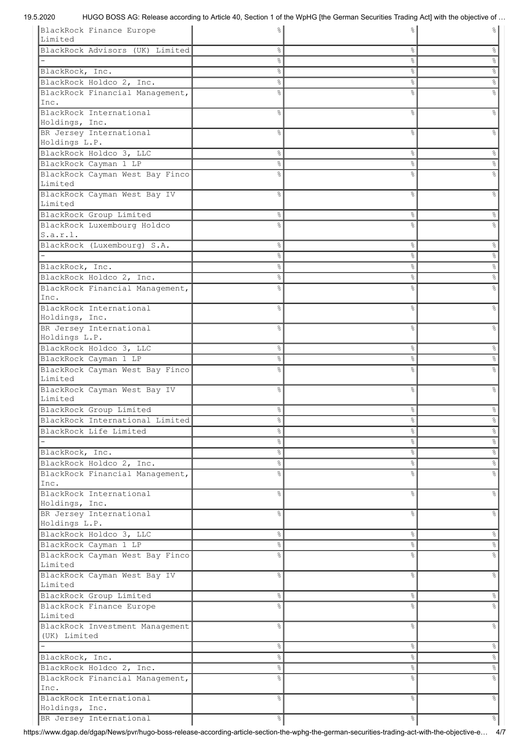| BlackRock Finance Europe        |                | g.     | ႜ      |
|---------------------------------|----------------|--------|--------|
| Limited                         |                |        |        |
| BlackRock Advisors (UK) Limited | g.             | $\%$   | s,     |
|                                 | 옹              | $\%$   | နွ     |
| BlackRock, Inc.                 | o <sub>o</sub> | $\%$   | °      |
| BlackRock Holdco 2, Inc.        | 옹              | °      | $\%$   |
| BlackRock Financial Management, | 욲              | 8      |        |
| Inc.                            |                |        |        |
| BlackRock International         | ⊱              | &      | g      |
| Holdings, Inc.                  |                |        |        |
| BR Jersey International         | g.             | နွ     | ిం     |
| Holdings L.P.                   |                |        |        |
| BlackRock Holdco 3, LLC         | 옹              | °      | g.     |
| BlackRock Cayman 1 LP           | o <sub>o</sub> | $\%$   | e,     |
| BlackRock Cayman West Bay Finco | g.             | &      |        |
| Limited                         |                |        |        |
| BlackRock Cayman West Bay IV    | g              | &      | g      |
| Limited                         |                |        |        |
| BlackRock Group Limited         | 옹              | °      | g.     |
| BlackRock Luxembourg Holdco     | g.             | &      |        |
| s.a.r.l.                        |                |        |        |
| BlackRock (Luxembourg) S.A.     | &              | °      | $\%$   |
|                                 | &              | °      | $\%$   |
| BlackRock, Inc.                 | &              | °      | $\%$   |
| BlackRock Holdco 2, Inc.        | 옹              | နွ     | e,     |
| BlackRock Financial Management, | ℅              | g      |        |
| Inc.                            |                |        |        |
| BlackRock International         | g.             | နွ     |        |
| Holdings, Inc.                  |                |        |        |
| BR Jersey International         | ℅              | &      |        |
| Holdings L.P.                   |                |        |        |
| BlackRock Holdco 3, LLC         | 옹              | °      | ⊱      |
| BlackRock Cayman 1 LP           | 옹              | ိင     | ⊱      |
| BlackRock Cayman West Bay Finco | g.             | g      |        |
| Limited                         |                |        |        |
| BlackRock Cayman West Bay IV    | ⊱              | နွ     | g      |
| Limited                         |                |        |        |
| BlackRock Group Limited         | 옹              | ိင     | 응      |
| BlackRock International Limited | ⊱              | °      |        |
| BlackRock Life Limited          | 옹              | °      | g.     |
|                                 | 옹              | °      | g.     |
| BlackRock, Inc.                 | 옹              | $\%$   | &      |
| BlackRock Holdco 2, Inc.        | 옹              | $\%$   | &      |
| BlackRock Financial Management, | ℅              | &      | s,     |
| Inc.                            |                |        |        |
| BlackRock International         | g              | g.     | s,     |
| Holdings, Inc.                  |                |        |        |
| BR Jersey International         | g              | &      | e<br>8 |
| Holdings L.P.                   |                |        |        |
| BlackRock Holdco 3, LLC         | 옹              | °      | &      |
| BlackRock Cayman 1 LP           | 옹              | °      | s,     |
| BlackRock Cayman West Bay Finco | g.             | &      | s,     |
| Limited                         |                |        |        |
| BlackRock Cayman West Bay IV    | g              | &      | s,     |
| Limited                         |                |        |        |
| BlackRock Group Limited         | 옹              | °      | s,     |
| BlackRock Finance Europe        | g              | &      |        |
| Limited                         |                |        |        |
| BlackRock Investment Management | g              | &      | s,     |
| (UK) Limited                    |                |        |        |
|                                 | 옹              | °      | &      |
| BlackRock, Inc.                 | 옹              | °      | °      |
| BlackRock Holdco 2, Inc.        | 옹              | °      | %      |
| BlackRock Financial Management, | g.             | &      | e,     |
| Inc.                            |                |        |        |
| BlackRock International         | g              | e<br>S | s,     |
| Holdings, Inc.                  |                |        |        |
| BR Jersey International         | 옹              | °      | °      |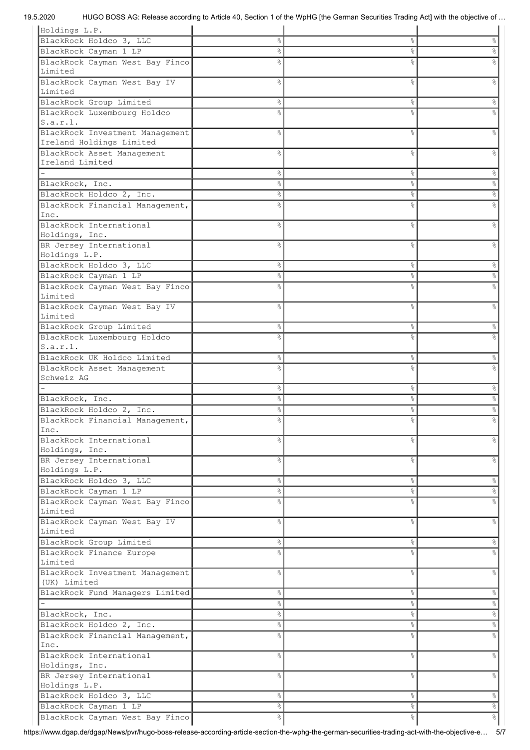| Holdings L.P.                                            |                    |                |                                              |
|----------------------------------------------------------|--------------------|----------------|----------------------------------------------|
| BlackRock Holdco 3, LLC                                  | o <sub>o</sub>     | $\%$           | s,                                           |
| BlackRock Cayman 1 LP                                    | o <sub>o</sub>     | $\%$           | g                                            |
| BlackRock Cayman West Bay Finco                          | 응                  | &              |                                              |
| Limited                                                  |                    |                |                                              |
|                                                          |                    |                |                                              |
| BlackRock Cayman West Bay IV                             | 옹                  | &              | g                                            |
| Limited                                                  |                    |                |                                              |
| BlackRock Group Limited                                  | ိင                 | °              | 옹                                            |
| BlackRock Luxembourg Holdco                              | g.                 | &              | ⊱                                            |
| S.a.r.l.                                                 |                    |                |                                              |
| BlackRock Investment Management                          | 옹                  | $\%$           | g                                            |
| Ireland Holdings Limited                                 |                    |                |                                              |
| BlackRock Asset Management                               | g                  | &              | g                                            |
| Ireland Limited                                          |                    |                |                                              |
|                                                          | နွ                 | °              | &                                            |
|                                                          |                    |                |                                              |
| BlackRock, Inc.                                          | o.                 | °              | e<br>S                                       |
| BlackRock Holdco 2, Inc.                                 | 옹                  | °              | e <sub>o</sub>                               |
| BlackRock Financial Management,                          | ℅                  | &              |                                              |
| Inc.                                                     |                    |                |                                              |
| BlackRock International                                  | g.                 | &              | ⊱                                            |
| Holdings, Inc.                                           |                    |                |                                              |
| BR Jersey International                                  | g                  | o <sub>o</sub> |                                              |
| Holdings L.P.                                            |                    |                |                                              |
| BlackRock Holdco 3, LLC                                  | $\frac{6}{6}$      | $\%$           | $\frac{8}{3}$                                |
|                                                          |                    |                |                                              |
| BlackRock Cayman 1 LP                                    | o <sub>o</sub>     | နွ             | 옹                                            |
| BlackRock Cayman West Bay Finco                          | 욲                  | g,             |                                              |
| Limited                                                  |                    |                |                                              |
| BlackRock Cayman West Bay IV                             | g.                 | &              | ⊱                                            |
| Limited                                                  |                    |                |                                              |
| BlackRock Group Limited                                  | ွေ                 | %              | g.                                           |
| BlackRock Luxembourg Holdco                              | ℅                  | &              |                                              |
| S.a.r.l.                                                 |                    |                |                                              |
|                                                          |                    |                |                                              |
| BlackRock UK Holdco Limited                              | 옹                  | ိင             | g.                                           |
| BlackRock Asset Management                               | ℅                  | o <sub>o</sub> |                                              |
| Schweiz AG                                               |                    |                |                                              |
|                                                          |                    |                | 옹                                            |
|                                                          | 옹                  | °              |                                              |
| BlackRock, Inc.                                          | ⊱                  | %              | 옹                                            |
|                                                          | ℅                  |                | s,                                           |
| BlackRock Holdco 2, Inc.                                 |                    | &              |                                              |
| BlackRock Financial Management,                          |                    | g.             |                                              |
| Inc.                                                     |                    |                |                                              |
| BlackRock International                                  | ⊱                  | %              | 응                                            |
| Holdings, Inc.                                           |                    |                |                                              |
| BR Jersey International                                  | ⊱                  | %              | 응                                            |
| Holdings L.P.                                            |                    |                |                                              |
| BlackRock Holdco 3, LLC                                  | 옹                  | °              | &                                            |
| BlackRock Cayman 1 LP                                    | 옹                  | $\%$           | °                                            |
|                                                          | g<br>6             | o <sub>o</sub> | e<br>8                                       |
| BlackRock Cayman West Bay Finco<br>Limited               |                    |                |                                              |
|                                                          |                    |                |                                              |
| BlackRock Cayman West Bay IV                             | g                  | e<br>S         | e,                                           |
| Limited                                                  |                    |                |                                              |
| BlackRock Group Limited                                  | 옹                  | °              | ိင                                           |
| BlackRock Finance Europe                                 | ٥R                 | ٥Ŗ             |                                              |
| Limited                                                  |                    |                |                                              |
| BlackRock Investment Management                          | g.                 | g.             | s,                                           |
| (UK) Limited                                             |                    |                |                                              |
| BlackRock Fund Managers Limited                          | &                  | °              | &                                            |
|                                                          | နွ                 | $\%$           | °                                            |
|                                                          |                    |                |                                              |
| BlackRock, Inc.                                          | 옹                  | $\%$           | $\%$                                         |
| BlackRock Holdco 2, Inc.                                 | &                  | $\%$           | %                                            |
| BlackRock Financial Management,                          | ⊱                  | o.             | e<br>8                                       |
| Inc.                                                     |                    |                |                                              |
| BlackRock International                                  | ٥Ŗ                 | g.             | e<br>8                                       |
| Holdings, Inc.                                           |                    |                |                                              |
| BR Jersey International                                  | 옹                  | e<br>S         | &                                            |
| Holdings L.P.                                            |                    |                |                                              |
| BlackRock Holdco 3, LLC                                  | $\frac{6}{3}$      | °              | $\%$                                         |
|                                                          |                    |                |                                              |
| BlackRock Cayman 1 LP<br>BlackRock Cayman West Bay Finco | 옹<br>$\frac{6}{3}$ | °<br>°         | $\frac{1}{\sqrt{2}}$<br>$\frac{1}{\sqrt{2}}$ |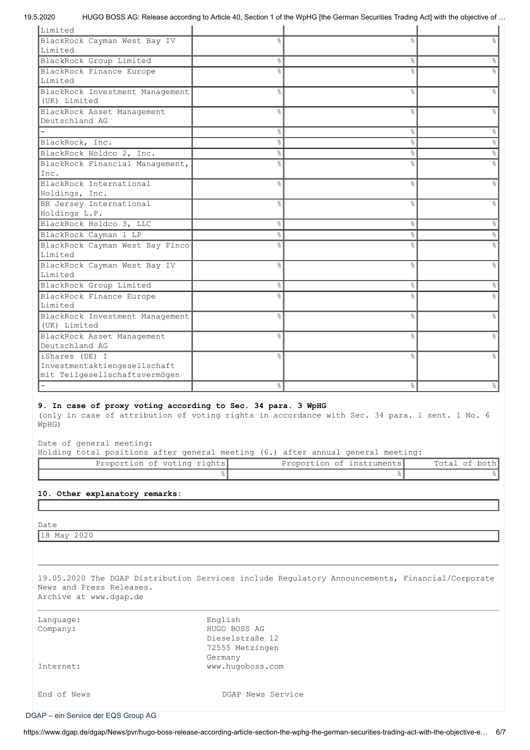| Limited                                                                                                                                                                 |               |                           |               |
|-------------------------------------------------------------------------------------------------------------------------------------------------------------------------|---------------|---------------------------|---------------|
| BlackRock Cayman West Bay IV                                                                                                                                            | ٥Ŗ            | $\approx$                 | $\approx$     |
| Limited                                                                                                                                                                 |               |                           |               |
| BlackRock Group Limited                                                                                                                                                 | g.            | &                         | 옹             |
| BlackRock Finance Europe                                                                                                                                                | 욲             | &                         |               |
| Limited                                                                                                                                                                 |               |                           |               |
| BlackRock Investment Management                                                                                                                                         | ⊱             | &                         | 옹             |
| (UK) Limited                                                                                                                                                            |               |                           |               |
| BlackRock Asset Management                                                                                                                                              | 옹             | $\frac{6}{6}$             | န့            |
| Deutschland AG                                                                                                                                                          |               |                           |               |
|                                                                                                                                                                         | ٥g            | $\frac{8}{6}$             | $\%$          |
| BlackRock, Inc.                                                                                                                                                         | e<br>8        | &                         | $\%$          |
| BlackRock Holdco 2, Inc.                                                                                                                                                | e<br>8        | $\frac{8}{6}$             | $\%$          |
| BlackRock Financial Management,                                                                                                                                         | ٥Ŗ            | &                         | န့            |
| Inc.                                                                                                                                                                    |               |                           |               |
| BlackRock International                                                                                                                                                 | 옹             | &                         | g.            |
| Holdings, Inc.                                                                                                                                                          |               |                           |               |
| BR Jersey International                                                                                                                                                 | 욲             | &                         | 옹             |
| Holdings L.P.                                                                                                                                                           |               |                           |               |
| BlackRock Holdco 3, LLC                                                                                                                                                 | e<br>8        | $\frac{6}{6}$             | &             |
| BlackRock Cayman 1 LP                                                                                                                                                   | 응             | $\%$                      | $\frac{1}{6}$ |
| BlackRock Cayman West Bay Finco                                                                                                                                         | ⊱             | 응                         |               |
| Limited                                                                                                                                                                 |               |                           |               |
| BlackRock Cayman West Bay IV                                                                                                                                            | ٥Ŗ            | $\frac{6}{2}$             | $\approx$     |
| Limited                                                                                                                                                                 |               |                           |               |
| BlackRock Group Limited                                                                                                                                                 | 옹             | ိင                        | %             |
| BlackRock Finance Europe                                                                                                                                                | ℅             | &                         |               |
| Limited                                                                                                                                                                 |               |                           |               |
| BlackRock Investment Management                                                                                                                                         | ⊱             | &                         | ⊱             |
| (UK) Limited                                                                                                                                                            |               |                           |               |
| BlackRock Asset Management                                                                                                                                              | ⊱             | $\frac{6}{6}$             | g.            |
| Deutschland AG                                                                                                                                                          |               |                           |               |
| iShares (DE) I<br>Investmentaktiengesellschaft                                                                                                                          | ٥g            | $\frac{6}{6}$             |               |
| mit Teilgesellschaftsvermögen                                                                                                                                           |               |                           |               |
|                                                                                                                                                                         | 옹             | $\frac{6}{6}$             | 옹             |
|                                                                                                                                                                         |               |                           |               |
| 9. In case of proxy voting according to Sec. 34 para. 3 WpHG<br>(only in case of attribution of voting rights in accordance with Sec. 34 para. 1 sent. 1 No. 6<br>WpHG) |               |                           |               |
| Date of general meeting:<br>Holding total positions after general meeting (6.) after annual general meeting:                                                            |               |                           |               |
| Proportion of voting rights                                                                                                                                             |               | Proportion of instruments | Total of both |
|                                                                                                                                                                         | $\frac{1}{6}$ | $\%$                      | $\frac{6}{6}$ |
|                                                                                                                                                                         |               |                           |               |
| 10. Other explanatory remarks:                                                                                                                                          |               |                           |               |

Date

18 May 2020

19.05.2020 The DGAP Distribution Services include Regulatory Announcements, Financial/Corporate News and Press Releases. Archive at www.dgap.de

| Language:<br>Company: | English<br>HUGO BOSS AG<br>Dieselstraße 12<br>72555 Metzingen<br>Germany |
|-----------------------|--------------------------------------------------------------------------|
| Internet:             | www.hugoboss.com                                                         |
| End of News           | DGAP News Service                                                        |

[DGAP – ein Service der EQS Group AG](http://germany.eqs.com/de)